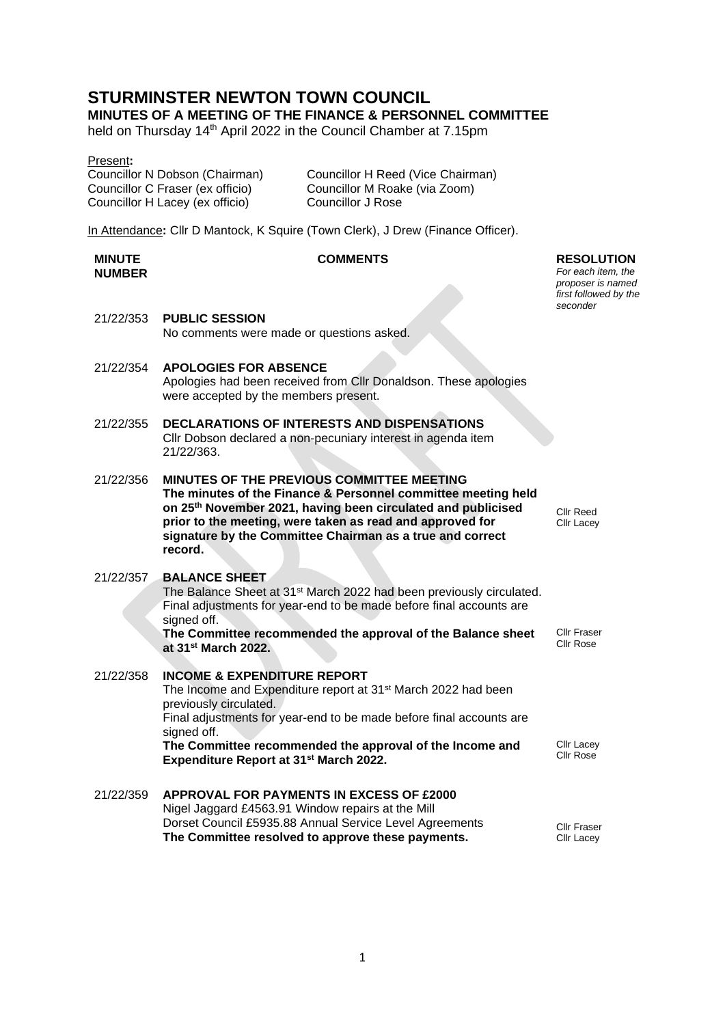# **STURMINSTER NEWTON TOWN COUNCIL**

## **MINUTES OF A MEETING OF THE FINANCE & PERSONNEL COMMITTEE**

held on Thursday 14<sup>th</sup> April 2022 in the Council Chamber at 7.15pm

|--|

Councillor C Fraser (ex officio) Councillor M Roake (via Zoom) Councillor H Lacey (ex officio) Councillor J Rose

Councillor N Dobson (Chairman) Councillor H Reed (Vice Chairman)

In Attendance**:** Cllr D Mantock, K Squire (Town Clerk), J Drew (Finance Officer).

#### **MINUTE NUMBER**

## **COMMENTS RESOLUTION**

21/22/353 **PUBLIC SESSION** No comments were made or questions asked.

- 21/22/354 **APOLOGIES FOR ABSENCE** Apologies had been received from Cllr Donaldson. These apologies were accepted by the members present.
- 21/22/355 **DECLARATIONS OF INTERESTS AND DISPENSATIONS** Cllr Dobson declared a non-pecuniary interest in agenda item 21/22/363.
- 21/22/356 **MINUTES OF THE PREVIOUS COMMITTEE MEETING The minutes of the Finance & Personnel committee meeting held on 25th November 2021, having been circulated and publicised prior to the meeting, were taken as read and approved for signature by the Committee Chairman as a true and correct record.**

## 21/22/357 **BALANCE SHEET**

The Balance Sheet at 31<sup>st</sup> March 2022 had been previously circulated. Final adjustments for year-end to be made before final accounts are signed off.

**The Committee recommended the approval of the Balance sheet at 31st March 2022.**

- 21/22/358 **INCOME & EXPENDITURE REPORT** The Income and Expenditure report at 31st March 2022 had been previously circulated. Final adjustments for year-end to be made before final accounts are signed off. **The Committee recommended the approval of the Income and Expenditure Report at 31st March 2022.**
- 21/22/359 **APPROVAL FOR PAYMENTS IN EXCESS OF £2000** Nigel Jaggard £4563.91 Window repairs at the Mill Dorset Council £5935.88 Annual Service Level Agreements **The Committee resolved to approve these payments.**

Cllr Reed Cllr Lacey

*For each item, the proposer is named first followed by the seconder*

Cllr Fraser Cllr Rose

Cllr Lacey Cllr Rose

Cllr Fraser Cllr Lacey

1